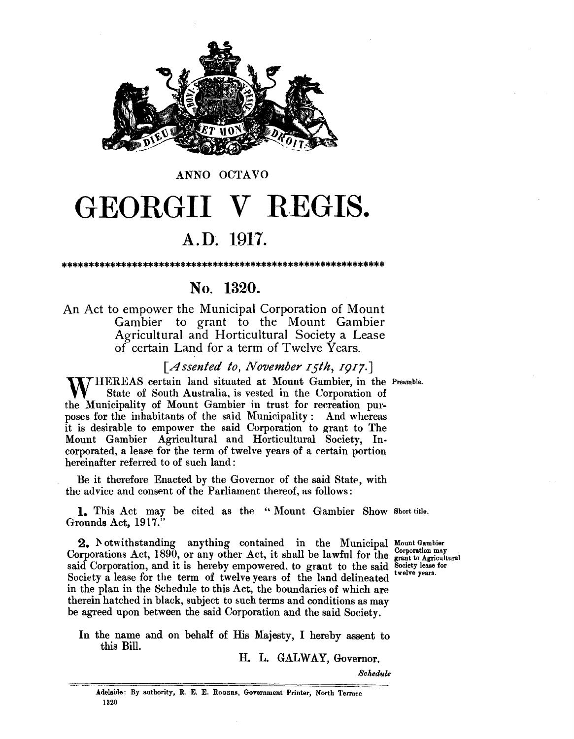

#### ANNO OCTAVO

# GEORGII V REGIS.

### A.D. 1917.

#### No. 1320.

An Act to empower the Municipal Corporation of Mount Gambier to grant to the Mount Gambier Agricultural and Horticultural Society a Lease of certain Land for a term of Twelve Years.

[Assented to, November 15th, 1917.]

M/HEREAS certain land situated at Mount Gambier, in the Preamble. State of South Australia, is vested in the Corporation of the Municipality of Mount Gambier in trust for recreation purposes for the inhabitants of the said Municipality: And whereas it is desirable to empower the said Corporation to grant to The Mount Gambier Agricultural and Horticultural Society, Incorporated, a lease for the term of twelve years of a certain portion hereinafter referred to of such land:

Be it therefore Enacted by the Governor of the said State, with the advice and consent of the Parliament thereof, as follows:

1. This Act may be cited as the "Mount Gambier Show Short title. Grounds Act, 1917."

2. Notwithstanding anything contained in the Municipal Mount Gambier Corporations Act, 1890, or any other Act, it shall be lawful for the grant to Agricultural said Corporation, and it is hereby empowered, to grant to the said Society lease for Society a lease for the term of twelve years of the land delineated in the plan in the Schedule to this Act, the boundaries of which are therein hatched in black, subject to such terms and conditions as may be agreed upon between the said Corporation and the said Society.

twelve years.

In the name and on behalf of His Majesty, I hereby assent to this Bill.

H. L. GALWAY, Governor.

Schedule